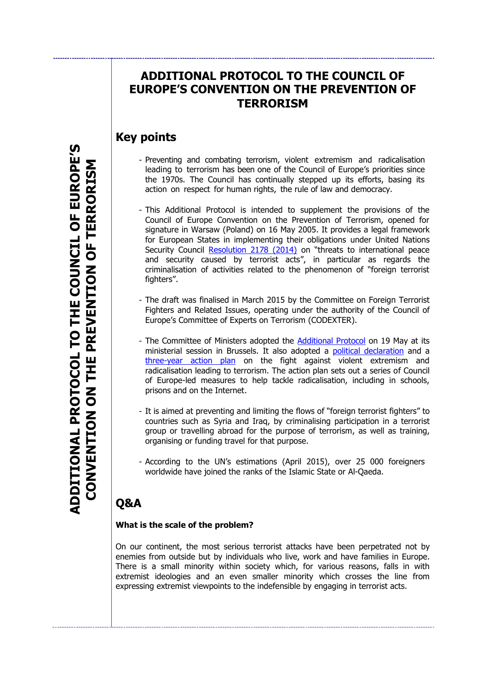## **ADDITIONAL PROTOCOL TO THE COUNCIL OF EUROPE'S CONVENTION ON THE PREVENTION OF TERRORISM**

## **Key points**

- Preventing and combating terrorism, violent extremism and radicalisation leading to terrorism has been one of the Council of Europe's priorities since the 1970s. The Council has continually stepped up its efforts, basing its action on respect for human rights, the rule of law and democracy.
- This Additional Protocol is intended to supplement the provisions of the Council of Europe Convention on the Prevention of Terrorism, opened for signature in Warsaw (Poland) on 16 May 2005. It provides a legal framework for European States in implementing their obligations under United Nations Security Council [Resolution 2178 \(2014\)](http://www.un.org/en/ga/search/view_doc.asp?symbol=S/RES/2178%20(2014)) on "threats to international peace and security caused by terrorist acts", in particular as regards the criminalisation of activities related to the phenomenon of "foreign terrorist fighters".
- The draft was finalised in March 2015 by the Committee on Foreign Terrorist Fighters and Related Issues, operating under the authority of the Council of Europe's Committee of Experts on Terrorism (CODEXTER).
- The Committee of Ministers adopted the **Additional Protocol** on 19 May at its ministerial session in Brussels. It also adopted a [political declaration](https://wcd.coe.int/ViewDoc.jsp?Ref=CM(2015)74&Language=lanEnglish&Ver=final&BackColorInternet=C3C3C3&BackColorIntranet=EDB021&BackColorLogged=F5D383) and a [three-year action plan](https://wcd.coe.int/ViewDoc.jsp?Ref=CM(2015)74&Language=lanEnglish&Ver=addfinal&BackColorInternet=C3C3C3&BackColorIntranet=EDB021&BackColorLogged=F5D383) on the fight against violent extremism and radicalisation leading to terrorism. The action plan sets out a series of Council of Europe-led measures to help tackle radicalisation, including in schools, prisons and on the Internet.
- It is aimed at preventing and limiting the flows of "foreign terrorist fighters" to countries such as Syria and Iraq, by criminalising participation in a terrorist group or travelling abroad for the purpose of terrorism, as well as training, organising or funding travel for that purpose.
- According to the UN's estimations (April 2015), over 25 000 foreigners worldwide have joined the ranks of the Islamic State or Al-Qaeda.

# **Q&A**

### **What is the scale of the problem?**

On our continent, the most serious terrorist attacks have been perpetrated not by enemies from outside but by individuals who live, work and have families in Europe. There is a small minority within society which, for various reasons, falls in with extremist ideologies and an even smaller minority which crosses the line from expressing extremist viewpoints to the indefensible by engaging in terrorist acts.

**ADDITIONAL PROTOCOL TO THE COUNCIL OF EUROPE'S ADDITIONAL PROTOCOL TO THE COUNCIL OF EUROPE'S** CONVENTION ON THE PREVENTION OF TERRORISM **CONVENTION ON THE PREVENTION OF TERRORISM**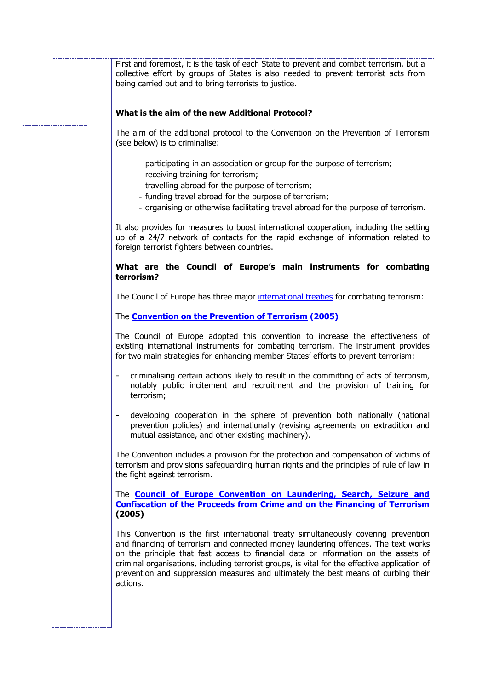First and foremost, it is the task of each State to prevent and combat terrorism, but a collective effort by groups of States is also needed to prevent terrorist acts from being carried out and to bring terrorists to justice.

#### **What is the aim of the new Additional Protocol?**

The aim of the additional protocol to the Convention on the Prevention of Terrorism (see below) is to criminalise:

- participating in an association or group for the purpose of terrorism;
- receiving training for terrorism;
- travelling abroad for the purpose of terrorism;
- funding travel abroad for the purpose of terrorism;
- organising or otherwise facilitating travel abroad for the purpose of terrorism.

It also provides for measures to boost international cooperation, including the setting up of a 24/7 network of contacts for the rapid exchange of information related to foreign terrorist fighters between countries.

#### **What are the Council of Europe's main instruments for combating terrorism?**

The Council of Europe has three major [international treaties](http://www.conventions.coe.int/) for combating terrorism:

#### The **[Convention on the Prevention of Terrorism](http://www.conventions.coe.int/Treaty/Commun/QueVoulezVous.asp?NT=196&CM=8&DF=&CL=FRE) (2005)**

The Council of Europe adopted this convention to increase the effectiveness of existing international instruments for combating terrorism. The instrument provides for two main strategies for enhancing member States' efforts to prevent terrorism:

- criminalising certain actions likely to result in the committing of acts of terrorism, notably public incitement and recruitment and the provision of training for terrorism;
- developing cooperation in the sphere of prevention both nationally (national prevention policies) and internationally (revising agreements on extradition and mutual assistance, and other existing machinery).

The Convention includes a provision for the protection and compensation of victims of terrorism and provisions safeguarding human rights and the principles of rule of law in the fight against terrorism.

The **[Council of Europe Convention on Laundering, Search, Seizure and](http://conventions.coe.int/Treaty/Commun/QueVoulezVous.asp?CL=ENG&CM=8&NT=198)  [Confiscation of the Proceeds from Crime and on the Financing of Terrorism](http://conventions.coe.int/Treaty/Commun/QueVoulezVous.asp?CL=ENG&CM=8&NT=198) (2005)**

This Convention is the first international treaty simultaneously covering prevention and financing of terrorism and connected money laundering offences. The text works on the principle that fast access to financial data or information on the assets of criminal organisations, including terrorist groups, is vital for the effective application of prevention and suppression measures and ultimately the best means of curbing their actions.